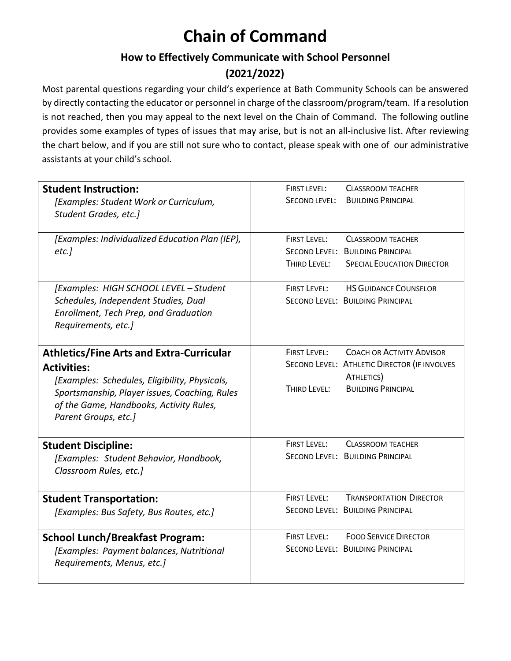# **Chain of Command**

#### **How to Effectively Communicate with School Personnel**

## **(2021/2022)**

Most parental questions regarding your child's experience at Bath Community Schools can be answered by directly contacting the educator or personnel in charge of the classroom/program/team. If a resolution is not reached, then you may appeal to the next level on the Chain of Command. The following outline provides some examples of types of issues that may arise, but is not an all-inclusive list. After reviewing the chart below, and if you are still not sure who to contact, please speak with one of our administrative assistants at your child's school.

| <b>Student Instruction:</b><br>[Examples: Student Work or Curriculum,<br>Student Grades, etc.]                                                                                                                                             | <b>FIRST LEVEL:</b><br><b>CLASSROOM TEACHER</b><br><b>BUILDING PRINCIPAL</b><br>SECOND LEVEL:                                                                      |
|--------------------------------------------------------------------------------------------------------------------------------------------------------------------------------------------------------------------------------------------|--------------------------------------------------------------------------------------------------------------------------------------------------------------------|
| [Examples: Individualized Education Plan (IEP),<br>etc.]                                                                                                                                                                                   | <b>FIRST LEVEL:</b><br><b>CLASSROOM TEACHER</b><br>SECOND LEVEL: BUILDING PRINCIPAL<br>THIRD LEVEL:<br><b>SPECIAL EDUCATION DIRECTOR</b>                           |
| [Examples: HIGH SCHOOL LEVEL - Student<br>Schedules, Independent Studies, Dual<br>Enrollment, Tech Prep, and Graduation<br>Requirements, etc.]                                                                                             | <b>HS GUIDANCE COUNSELOR</b><br><b>FIRST LEVEL:</b><br>SECOND LEVEL: BUILDING PRINCIPAL                                                                            |
| <b>Athletics/Fine Arts and Extra-Curricular</b><br><b>Activities:</b><br>[Examples: Schedules, Eligibility, Physicals,<br>Sportsmanship, Player issues, Coaching, Rules<br>of the Game, Handbooks, Activity Rules,<br>Parent Groups, etc.] | <b>FIRST LEVEL:</b><br><b>COACH OR ACTIVITY ADVISOR</b><br>SECOND LEVEL: ATHLETIC DIRECTOR (IF INVOLVES<br>ATHLETICS)<br>THIRD LEVEL:<br><b>BUILDING PRINCIPAL</b> |
| <b>Student Discipline:</b><br>[Examples: Student Behavior, Handbook,<br>Classroom Rules, etc.]                                                                                                                                             | <b>FIRST LEVEL:</b><br><b>CLASSROOM TEACHER</b><br>SECOND LEVEL: BUILDING PRINCIPAL                                                                                |
| <b>Student Transportation:</b><br>[Examples: Bus Safety, Bus Routes, etc.]                                                                                                                                                                 | <b>FIRST LEVEL:</b><br><b>TRANSPORTATION DIRECTOR</b><br>SECOND LEVEL: BUILDING PRINCIPAL                                                                          |
| <b>School Lunch/Breakfast Program:</b><br>[Examples: Payment balances, Nutritional<br>Requirements, Menus, etc.]                                                                                                                           | <b>FIRST LEVEL:</b><br><b>FOOD SERVICE DIRECTOR</b><br>SECOND LEVEL: BUILDING PRINCIPAL                                                                            |